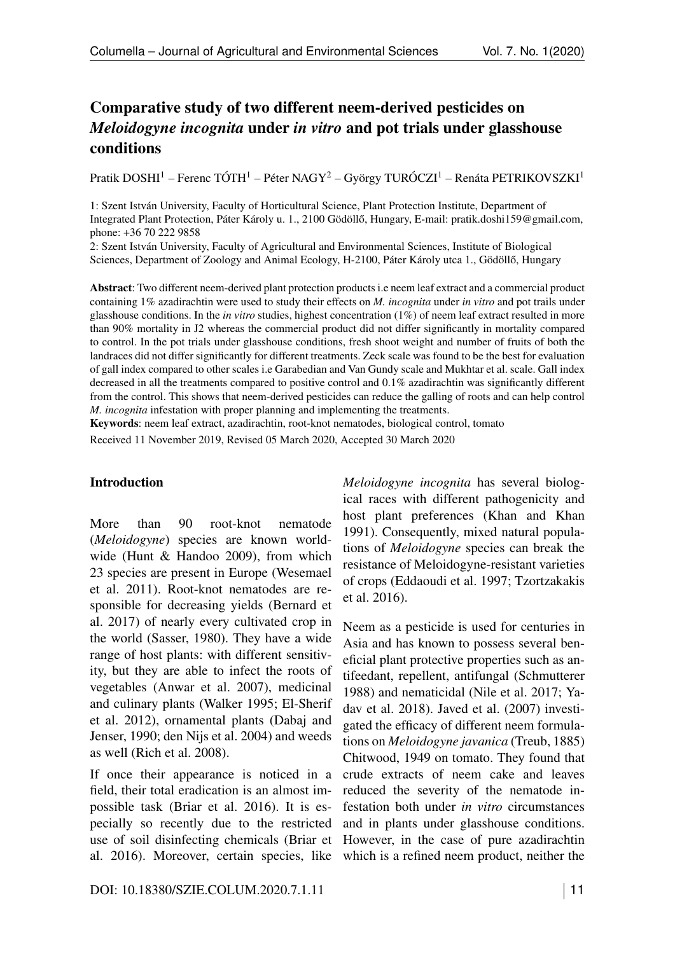# Comparative study of two different neem-derived pesticides on *Meloidogyne incognita* under *in vitro* and pot trials under glasshouse conditions

Pratik DOSHI<sup>1</sup> – Ferenc TÓTH<sup>1</sup> – Péter NAGY<sup>2</sup> – György TURÓCZI<sup>1</sup> – Renáta PETRIKOVSZKI<sup>1</sup>

1: Szent István University, Faculty of Horticultural Science, Plant Protection Institute, Department of Integrated Plant Protection, Páter Károly u. 1., 2100 Gödöllő, Hungary, E-mail: pratik.doshi159@gmail.com, phone: +36 70 222 9858

2: Szent István University, Faculty of Agricultural and Environmental Sciences, Institute of Biological Sciences, Department of Zoology and Animal Ecology, H-2100, Páter Károly utca 1., Gödöllő, Hungary

Abstract: Two different neem-derived plant protection products i.e neem leaf extract and a commercial product containing 1% azadirachtin were used to study their effects on *M. incognita* under *in vitro* and pot trails under glasshouse conditions. In the *in vitro* studies, highest concentration (1%) of neem leaf extract resulted in more than 90% mortality in J2 whereas the commercial product did not differ significantly in mortality compared to control. In the pot trials under glasshouse conditions, fresh shoot weight and number of fruits of both the landraces did not differ significantly for different treatments. Zeck scale was found to be the best for evaluation of gall index compared to other scales i.e Garabedian and Van Gundy scale and Mukhtar et al. scale. Gall index decreased in all the treatments compared to positive control and 0.1% azadirachtin was significantly different from the control. This shows that neem-derived pesticides can reduce the galling of roots and can help control *M. incognita* infestation with proper planning and implementing the treatments.

Keywords: neem leaf extract, azadirachtin, root-knot nematodes, biological control, tomato

Received 11 November 2019, Revised 05 March 2020, Accepted 30 March 2020

#### Introduction

More than 90 root-knot nematode (*Meloidogyne*) species are known worldwide (Hunt & Handoo 2009), from which 23 species are present in Europe (Wesemael et al. 2011). Root-knot nematodes are responsible for decreasing yields (Bernard et al. 2017) of nearly every cultivated crop in the world (Sasser, 1980). They have a wide range of host plants: with different sensitivity, but they are able to infect the roots of vegetables (Anwar et al. 2007), medicinal and culinary plants (Walker 1995; El-Sherif et al. 2012), ornamental plants (Dabaj and Jenser, 1990; den Nijs et al. 2004) and weeds as well (Rich et al. 2008).

If once their appearance is noticed in a field, their total eradication is an almost impossible task (Briar et al. 2016). It is especially so recently due to the restricted use of soil disinfecting chemicals (Briar et al. 2016). Moreover, certain species, like

*Meloidogyne incognita* has several biological races with different pathogenicity and host plant preferences (Khan and Khan 1991). Consequently, mixed natural populations of *Meloidogyne* species can break the resistance of Meloidogyne-resistant varieties of crops (Eddaoudi et al. 1997; Tzortzakakis et al. 2016).

Neem as a pesticide is used for centuries in Asia and has known to possess several beneficial plant protective properties such as antifeedant, repellent, antifungal (Schmutterer 1988) and nematicidal (Nile et al. 2017; Yadav et al. 2018). Javed et al. (2007) investigated the efficacy of different neem formulations on *Meloidogyne javanica* (Treub, 1885) Chitwood, 1949 on tomato. They found that crude extracts of neem cake and leaves reduced the severity of the nematode infestation both under *in vitro* circumstances and in plants under glasshouse conditions. However, in the case of pure azadirachtin which is a refined neem product, neither the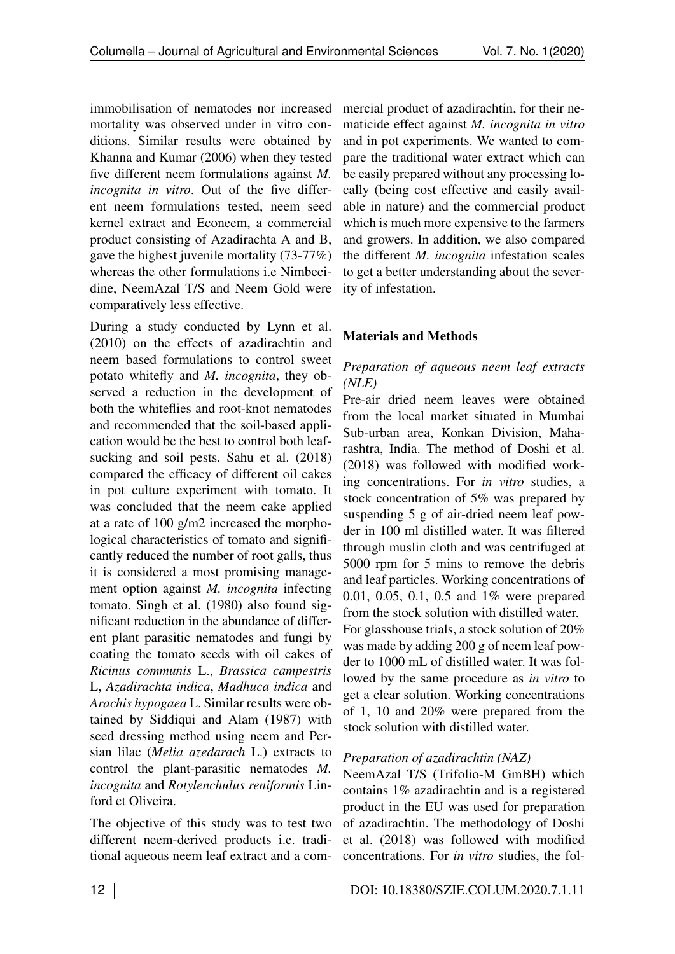immobilisation of nematodes nor increased mortality was observed under in vitro conditions. Similar results were obtained by Khanna and Kumar (2006) when they tested five different neem formulations against *M. incognita in vitro*. Out of the five different neem formulations tested, neem seed kernel extract and Econeem, a commercial product consisting of Azadirachta A and B, gave the highest juvenile mortality (73-77%) whereas the other formulations i.e Nimbecidine, NeemAzal T/S and Neem Gold were comparatively less effective.

During a study conducted by Lynn et al. (2010) on the effects of azadirachtin and neem based formulations to control sweet potato whitefly and *M. incognita*, they observed a reduction in the development of both the whiteflies and root-knot nematodes and recommended that the soil-based application would be the best to control both leafsucking and soil pests. Sahu et al.  $(2018)$ compared the efficacy of different oil cakes in pot culture experiment with tomato. It was concluded that the neem cake applied at a rate of 100 g/m2 increased the morphological characteristics of tomato and significantly reduced the number of root galls, thus it is considered a most promising management option against *M. incognita* infecting tomato. Singh et al. (1980) also found significant reduction in the abundance of different plant parasitic nematodes and fungi by coating the tomato seeds with oil cakes of *Ricinus communis* L., *Brassica campestris* L, *Azadirachta indica*, *Madhuca indica* and *Arachis hypogaea* L. Similar results were obtained by Siddiqui and Alam (1987) with seed dressing method using neem and Persian lilac (*Melia azedarach* L.) extracts to control the plant-parasitic nematodes *M. incognita* and *Rotylenchulus reniformis* Linford et Oliveira.

The objective of this study was to test two different neem-derived products i.e. traditional aqueous neem leaf extract and a commercial product of azadirachtin, for their nematicide effect against *M. incognita in vitro* and in pot experiments. We wanted to compare the traditional water extract which can be easily prepared without any processing locally (being cost effective and easily available in nature) and the commercial product which is much more expensive to the farmers and growers. In addition, we also compared the different *M. incognita* infestation scales to get a better understanding about the severity of infestation.

## Materials and Methods

### *Preparation of aqueous neem leaf extracts (NLE)*

Pre-air dried neem leaves were obtained from the local market situated in Mumbai Sub-urban area, Konkan Division, Maharashtra, India. The method of Doshi et al. (2018) was followed with modified working concentrations. For *in vitro* studies, a stock concentration of 5% was prepared by suspending 5 g of air-dried neem leaf powder in 100 ml distilled water. It was filtered through muslin cloth and was centrifuged at 5000 rpm for 5 mins to remove the debris and leaf particles. Working concentrations of 0.01, 0.05, 0.1, 0.5 and 1% were prepared from the stock solution with distilled water. For glasshouse trials, a stock solution of 20% was made by adding 200 g of neem leaf powder to 1000 mL of distilled water. It was followed by the same procedure as *in vitro* to get a clear solution. Working concentrations of 1, 10 and 20% were prepared from the stock solution with distilled water.

## *Preparation of azadirachtin (NAZ)*

NeemAzal T/S (Trifolio-M GmBH) which contains 1% azadirachtin and is a registered product in the EU was used for preparation of azadirachtin. The methodology of Doshi et al. (2018) was followed with modified concentrations. For *in vitro* studies, the fol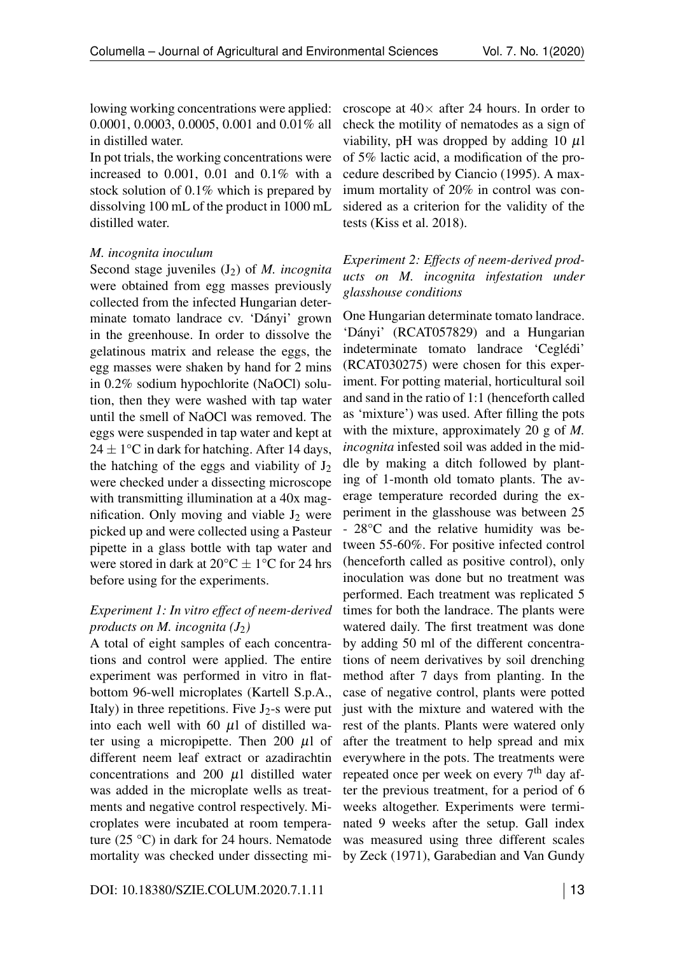lowing working concentrations were applied: 0.0001, 0.0003, 0.0005, 0.001 and 0.01% all in distilled water.

In pot trials, the working concentrations were increased to 0.001, 0.01 and 0.1% with a stock solution of 0.1% which is prepared by dissolving 100 mL of the product in 1000 mL distilled water.

### *M. incognita inoculum*

Second stage juveniles (J<sub>2</sub>) of *M. incognita* were obtained from egg masses previously collected from the infected Hungarian determinate tomato landrace cv. 'Dányi' grown in the greenhouse. In order to dissolve the gelatinous matrix and release the eggs, the egg masses were shaken by hand for 2 mins in 0.2% sodium hypochlorite (NaOCl) solution, then they were washed with tap water until the smell of NaOCl was removed. The eggs were suspended in tap water and kept at  $24 \pm 1$ °C in dark for hatching. After 14 days, the hatching of the eggs and viability of  $J_2$ were checked under a dissecting microscope with transmitting illumination at a 40x magnification. Only moving and viable  $J_2$  were picked up and were collected using a Pasteur pipette in a glass bottle with tap water and were stored in dark at 20°C *±* 1°C for 24 hrs before using for the experiments.

## *Experiment 1: In vitro effect of neem-derived products on M. incognita*  $(J_2)$

A total of eight samples of each concentrations and control were applied. The entire experiment was performed in vitro in flatbottom 96-well microplates (Kartell S.p.A., Italy) in three repetitions. Five  $J_2$ -s were put into each well with 60 *µ*l of distilled water using a micropipette. Then 200 *µ*l of different neem leaf extract or azadirachtin concentrations and 200 *µ*l distilled water was added in the microplate wells as treatments and negative control respectively. Microplates were incubated at room temperature (25 °C) in dark for 24 hours. Nematode mortality was checked under dissecting mi-

croscope at  $40\times$  after 24 hours. In order to check the motility of nematodes as a sign of viability, pH was dropped by adding 10 *µ*l of 5% lactic acid, a modification of the procedure described by Ciancio (1995). A maximum mortality of 20% in control was considered as a criterion for the validity of the tests (Kiss et al. 2018).

# *Experiment 2: Effects of neem-derived products on M. incognita infestation under glasshouse conditions*

One Hungarian determinate tomato landrace. 'Dányi' (RCAT057829) and a Hungarian indeterminate tomato landrace 'Ceglédi' (RCAT030275) were chosen for this experiment. For potting material, horticultural soil and sand in the ratio of 1:1 (henceforth called as 'mixture') was used. After filling the pots with the mixture, approximately 20 g of *M. incognita* infested soil was added in the middle by making a ditch followed by planting of 1-month old tomato plants. The average temperature recorded during the experiment in the glasshouse was between 25 - 28°C and the relative humidity was between 55-60%. For positive infected control (henceforth called as positive control), only inoculation was done but no treatment was performed. Each treatment was replicated 5 times for both the landrace. The plants were watered daily. The first treatment was done by adding 50 ml of the different concentrations of neem derivatives by soil drenching method after 7 days from planting. In the case of negative control, plants were potted just with the mixture and watered with the rest of the plants. Plants were watered only after the treatment to help spread and mix everywhere in the pots. The treatments were repeated once per week on every  $7<sup>th</sup>$  day after the previous treatment, for a period of 6 weeks altogether. Experiments were terminated 9 weeks after the setup. Gall index was measured using three different scales by Zeck (1971), Garabedian and Van Gundy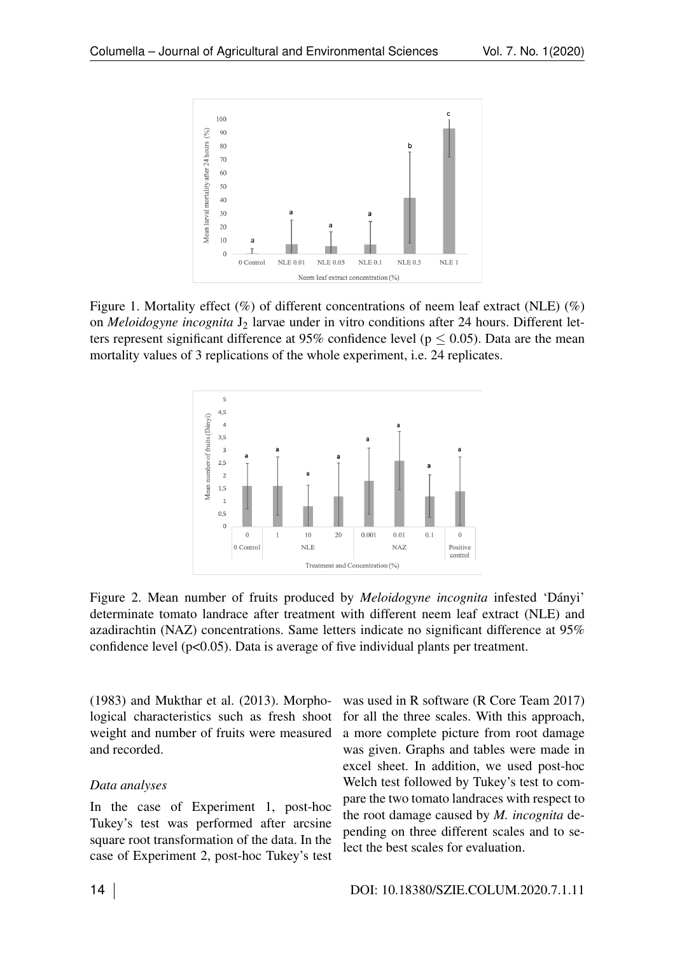

Figure 1. Mortality effect  $(\%)$  of different concentrations of neem leaf extract (NLE)  $(\%)$ on *Meloidogyne incognita* J<sub>2</sub> larvae under in vitro conditions after 24 hours. Different letters represent significant difference at 95% confidence level ( $p < 0.05$ ). Data are the mean mortality values of 3 replications of the whole experiment, i.e. 24 replicates.



Figure 2. Mean number of fruits produced by *Meloidogyne incognita* infested 'Dányi' determinate tomato landrace after treatment with different neem leaf extract (NLE) and azadirachtin (NAZ) concentrations. Same letters indicate no significant difference at 95% confidence level (p<0.05). Data is average of five individual plants per treatment.

(1983) and Mukthar et al. (2013). Morphological characteristics such as fresh shoot weight and number of fruits were measured and recorded.

#### *Data analyses*

In the case of Experiment 1, post-hoc Tukey's test was performed after arcsine square root transformation of the data. In the case of Experiment 2, post-hoc Tukey's test was used in R software (R Core Team 2017) for all the three scales. With this approach, a more complete picture from root damage was given. Graphs and tables were made in excel sheet. In addition, we used post-hoc Welch test followed by Tukey's test to compare the two tomato landraces with respect to the root damage caused by *M. incognita* depending on three different scales and to select the best scales for evaluation.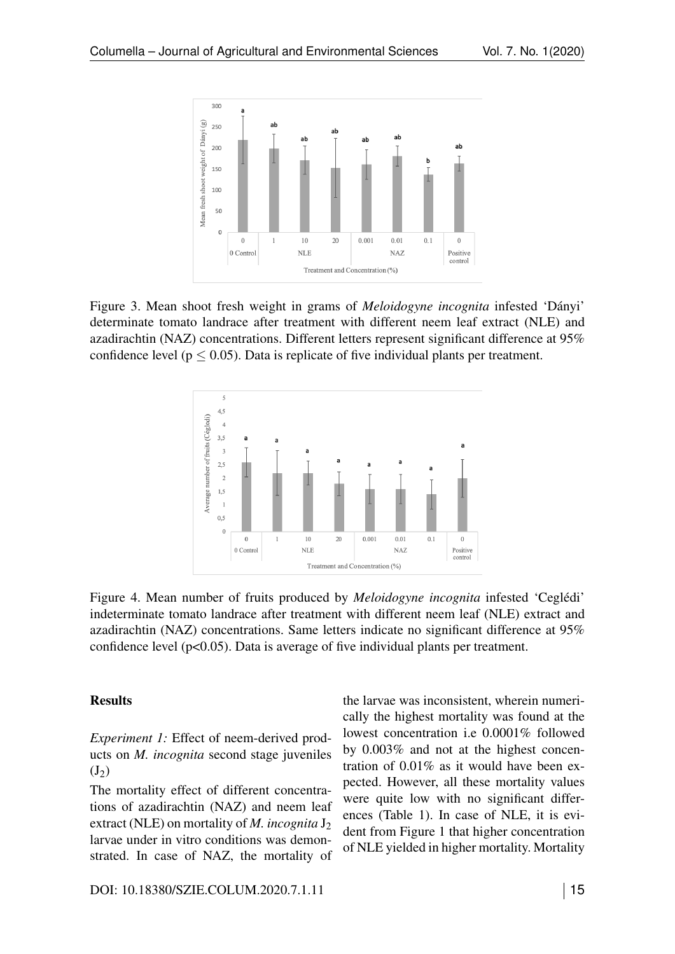

Figure 3. Mean shoot fresh weight in grams of *Meloidogyne incognita* infested 'Dányi' determinate tomato landrace after treatment with different neem leaf extract (NLE) and azadirachtin (NAZ) concentrations. Different letters represent significant difference at 95% confidence level ( $p \le 0.05$ ). Data is replicate of five individual plants per treatment.



Figure 4. Mean number of fruits produced by *Meloidogyne incognita* infested 'Ceglédi' indeterminate tomato landrace after treatment with different neem leaf (NLE) extract and azadirachtin (NAZ) concentrations. Same letters indicate no significant difference at 95% confidence level  $(p<0.05)$ . Data is average of five individual plants per treatment.

### **Results**

*Experiment 1:* Effect of neem-derived products on *M. incognita* second stage juveniles  $(J_2)$ 

The mortality effect of different concentrations of azadirachtin (NAZ) and neem leaf extract (NLE) on mortality of *M. incognita* J<sub>2</sub> larvae under in vitro conditions was demonstrated. In case of NAZ, the mortality of the larvae was inconsistent, wherein numerically the highest mortality was found at the lowest concentration i.e 0.0001% followed by 0.003% and not at the highest concentration of 0.01% as it would have been expected. However, all these mortality values were quite low with no significant differences (Table [1\)](#page--1-0). In case of NLE, it is evident from Figure [1](#page-7-0) that higher concentration of NLE yielded in higher mortality. Mortality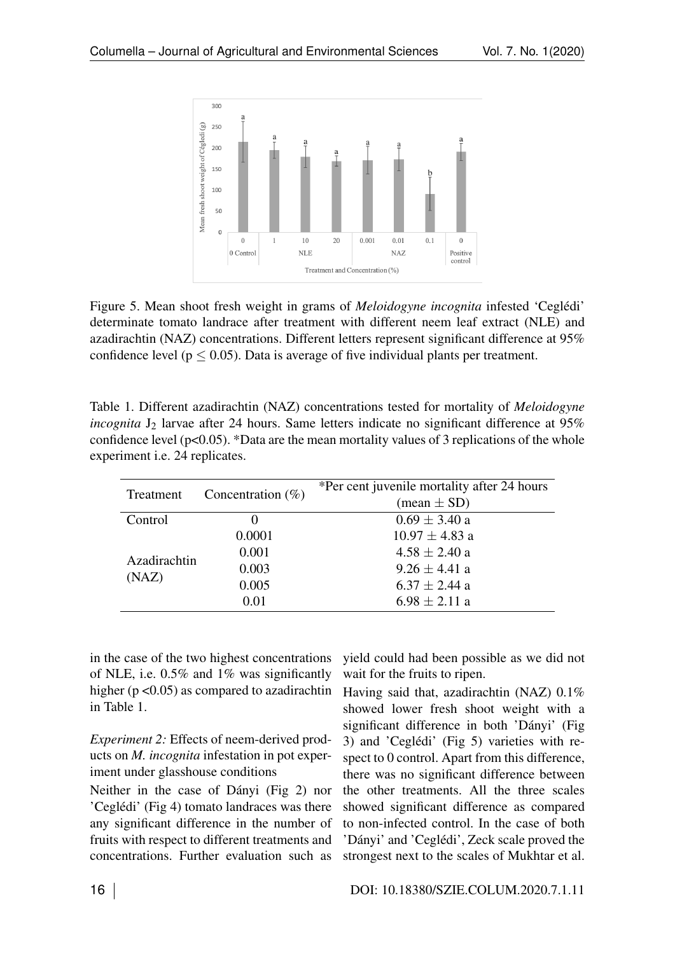

Figure 5. Mean shoot fresh weight in grams of *Meloidogyne incognita* infested 'Ceglédi' determinate tomato landrace after treatment with different neem leaf extract (NLE) and azadirachtin (NAZ) concentrations. Different letters represent significant difference at 95% confidence level ( $p < 0.05$ ). Data is average of five individual plants per treatment.

| Table 1. Different azadirachtin (NAZ) concentrations tested for mortality of <i>Meloidogyne</i>      |
|------------------------------------------------------------------------------------------------------|
| <i>incognita</i> $J_2$ larvae after 24 hours. Same letters indicate no significant difference at 95% |
| confidence level ( $p<0.05$ ). *Data are the mean mortality values of 3 replications of the whole    |
| experiment <i>i.e.</i> 24 replicates.                                                                |

| Treatment             | Concentration $(\%)$ | *Per cent juvenile mortality after 24 hours |
|-----------------------|----------------------|---------------------------------------------|
|                       |                      | $(\text{mean} \pm \text{SD})$               |
| Control               |                      | $0.69 \pm 3.40$ a                           |
| Azadirachtin<br>(NAZ) | 0.0001               | $10.97 \pm 4.83$ a                          |
|                       | 0.001                | $4.58 \pm 2.40$ a                           |
|                       | 0.003                | $9.26 \pm 4.41$ a                           |
|                       | 0.005                | $6.37 \pm 2.44$ a                           |
|                       | 0.01                 | $6.98 \pm 2.11$ a                           |

in the case of the two highest concentrations of NLE, i.e. 0.5% and 1% was significantly higher ( $p < 0.05$ ) as compared to azadirachtin in Table [1.](#page--1-0)

*Experiment 2:* Effects of neem-derived products on *M. incognita* infestation in pot experiment under glasshouse conditions

Neither in the case of Dányi (Fig [2\)](#page-7-1) nor 'Ceglédi' (Fig [4\)](#page-9-0) tomato landraces was there any significant difference in the number of fruits with respect to different treatments and concentrations. Further evaluation such as

yield could had been possible as we did not wait for the fruits to ripen.

Having said that, azadirachtin (NAZ) 0.1% showed lower fresh shoot weight with a significant difference in both 'Dányi' (Fig [3\)](#page-9-1) and 'Ceglédi' (Fig [5\)](#page--1-1) varieties with respect to 0 control. Apart from this difference, there was no significant difference between the other treatments. All the three scales showed significant difference as compared to non-infected control. In the case of both 'Dányi' and 'Ceglédi', Zeck scale proved the strongest next to the scales of Mukhtar et al.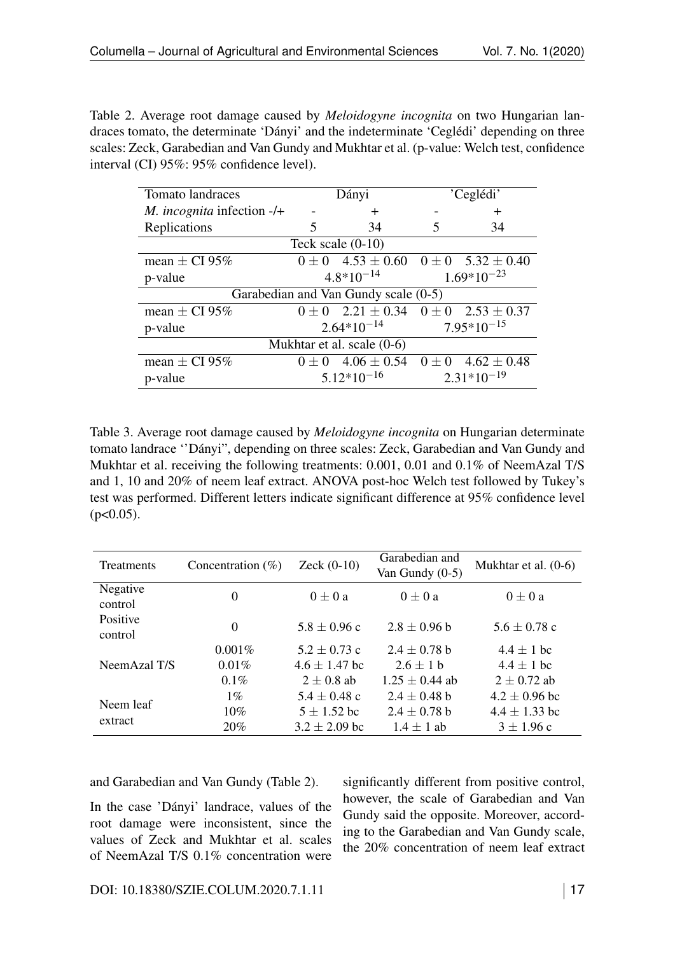Table 2. Average root damage caused by *Meloidogyne incognita* on two Hungarian landraces tomato, the determinate 'Dányi' and the indeterminate 'Ceglédi' depending on three scales: Zeck, Garabedian and Van Gundy and Mukhtar et al. (p-value: Welch test, confidence interval (CI) 95%: 95% confidence level).

| <b>Tomato</b> landraces              | Dányi           |                                                     |                 | 'Ceglédi'                 |  |  |
|--------------------------------------|-----------------|-----------------------------------------------------|-----------------|---------------------------|--|--|
| $M. incognita$ infection -/+         |                 | $\div$                                              |                 | $\pm$                     |  |  |
| Replications                         | 5               | 34                                                  |                 | 34                        |  |  |
| Teck scale $(0-10)$                  |                 |                                                     |                 |                           |  |  |
| mean $\pm$ CI 95%                    | $0\pm 0$        | $4.53 \pm 0.60$ $0 \pm 0$ $5.32 \pm 0.40$           |                 |                           |  |  |
| p-value                              | $4.8*10^{-14}$  |                                                     | $1.69*10^{-23}$ |                           |  |  |
| Garabedian and Van Gundy scale (0-5) |                 |                                                     |                 |                           |  |  |
| mean $\pm$ CI 95%                    |                 | $0 \pm 0$ 2.21 $\pm$ 0.34 0 $\pm$ 0 2.53 $\pm$ 0.37 |                 |                           |  |  |
| p-value                              | $2.64*10^{-14}$ |                                                     | $7.95*10^{-15}$ |                           |  |  |
| Mukhtar et al. scale $(0-6)$         |                 |                                                     |                 |                           |  |  |
| mean $\pm$ CI 95%                    |                 | $0 \pm 0$ 4.06 $\pm$ 0.54                           |                 | $0 \pm 0$ 4.62 $\pm$ 0.48 |  |  |
| p-value                              |                 | $5.12*10^{-16}$                                     |                 | $2.31*10^{-19}$           |  |  |

Table 3. Average root damage caused by *Meloidogyne incognita* on Hungarian determinate tomato landrace ''Dányi", depending on three scales: Zeck, Garabedian and Van Gundy and Mukhtar et al. receiving the following treatments: 0.001, 0.01 and 0.1% of NeemAzal T/S and 1, 10 and 20% of neem leaf extract. ANOVA post-hoc Welch test followed by Tukey's test was performed. Different letters indicate significant difference at 95% confidence level  $(p<0.05)$ .

| <b>Treatments</b>   | Concentration $(\%)$ | Zeck $(0-10)$     | Garabedian and<br>Van Gundy $(0-5)$ | Mukhtar et al. $(0-6)$ |
|---------------------|----------------------|-------------------|-------------------------------------|------------------------|
| Negative<br>control | $\Omega$             | $0 \pm 0 a$       | $0+0a$                              | $0 \pm 0 a$            |
| Positive<br>control | $\Omega$             | $5.8 \pm 0.96$ c  | $2.8 \pm 0.96$ b                    | $5.6 \pm 0.78$ c       |
|                     | $0.001\%$            | $5.2 \pm 0.73$ c  | $2.4 \pm 0.78$ b                    | $4.4 \pm 1$ bc         |
| NeemAzal T/S        | 0.01%                | $4.6 \pm 1.47$ bc | $2.6 + 1 h$                         | $4.4 + 1$ bc           |
|                     | $0.1\%$              | $2 \pm 0.8$ ab    | $1.25 \pm 0.44$ ab                  | $2 \pm 0.72$ ab        |
|                     | $1\%$                | $5.4 \pm 0.48$ c  | $2.4 \pm 0.48$ b                    | $4.2 \pm 0.96$ bc      |
| Neem leaf           | $10\%$               | $5 \pm 1.52$ bc   | $2.4 \pm 0.78$ b                    | $4.4 \pm 1.33$ bc      |
| extract             | 20%                  | $3.2 \pm 2.09$ bc | $1.4 \pm 1$ ab                      | $3 \pm 1.96$ c         |

and Garabedian and Van Gundy (Table [2\)](#page--1-2).

In the case 'Dányi' landrace, values of the root damage were inconsistent, since the values of Zeck and Mukhtar et al. scales of NeemAzal T/S 0.1% concentration were

significantly different from positive control, however, the scale of Garabedian and Van Gundy said the opposite. Moreover, according to the Garabedian and Van Gundy scale, the 20% concentration of neem leaf extract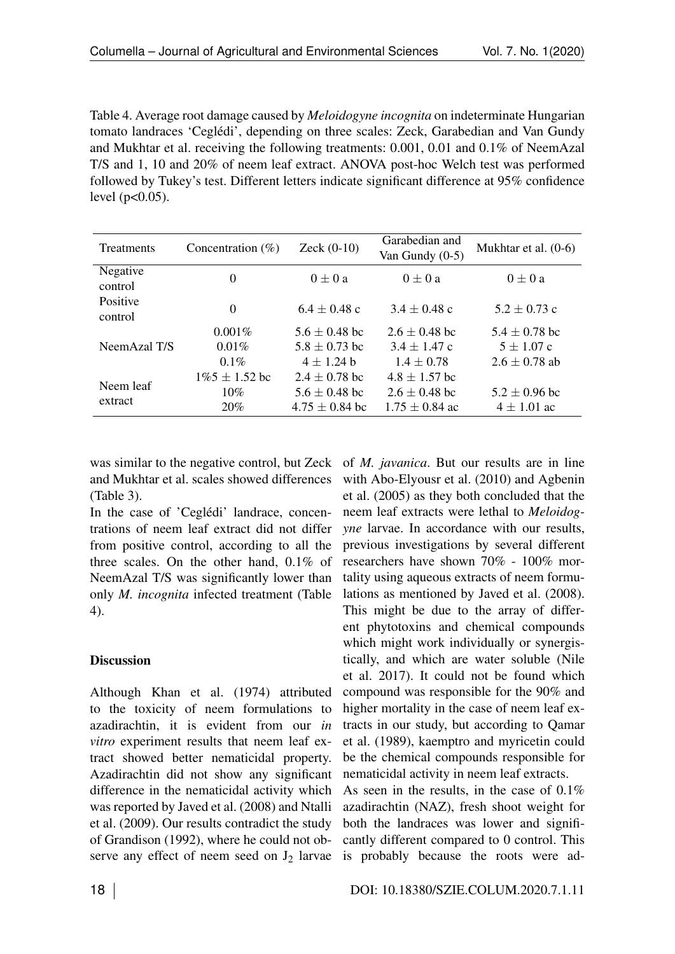Table 4. Average root damage caused by *Meloidogyne incognita* on indeterminate Hungarian tomato landraces 'Ceglédi', depending on three scales: Zeck, Garabedian and Van Gundy and Mukhtar et al. receiving the following treatments: 0.001, 0.01 and 0.1% of NeemAzal T/S and 1, 10 and 20% of neem leaf extract. ANOVA post-hoc Welch test was performed followed by Tukey's test. Different letters indicate significant difference at 95% confidence level  $(p<0.05)$ .

<span id="page-7-0"></span>

| <b>Treatments</b>          | Concentration $(\% )$ | $Zeck (0-10)$      | Garabedian and<br>Van Gundy $(0-5)$ | Mukhtar et al. $(0-6)$ |
|----------------------------|-----------------------|--------------------|-------------------------------------|------------------------|
| Negative<br>control        | $\theta$              | $0 \pm 0 a$        | $0 \pm 0 a$                         | $0 \pm 0 a$            |
| <b>Positive</b><br>control | $\theta$              | $6.4 + 0.48$ c     | $3.4 + 0.48$ c                      | $5.2 \pm 0.73$ c       |
|                            | $0.001\%$             | $5.6 \pm 0.48$ bc  | $2.6 \pm 0.48$ bc                   | $5.4 \pm 0.78$ bc      |
| NeemAzal T/S               | 0.01%                 | $5.8 \pm 0.73$ bc  | $3.4 \pm 1.47$ c                    | $5 \pm 1.07$ c         |
|                            | $0.1\%$               | $4 + 1.24$ h       | $1.4 \pm 0.78$                      | $2.6 \pm 0.78$ ab      |
|                            | $1\%5 \pm 1.52$ bc    | $2.4 \pm 0.78$ bc  | $4.8 \pm 1.57$ bc                   |                        |
| Neem leaf                  | 10%                   | $5.6 \pm 0.48$ bc  | $2.6 \pm 0.48$ bc                   | $5.2 \pm 0.96$ bc      |
| extract                    | 20%                   | $4.75 \pm 0.84$ bc | $1.75 \pm 0.84$ ac                  | $4 \pm 1.01$ ac        |

was similar to the negative control, but Zeck of *M. javanica*. But our results are in line and Mukhtar et al. scales showed differences (Table [3\)](#page--1-3).

In the case of 'Ceglédi' landrace, concentrations of neem leaf extract did not differ from positive control, according to all the three scales. On the other hand, 0.1% of NeemAzal T/S was significantly lower than only *M. incognita* infected treatment (Table [4\)](#page--1-4).

### <span id="page-7-1"></span>**Discussion**

Although Khan et al. (1974) attributed to the toxicity of neem formulations to azadirachtin, it is evident from our *in vitro* experiment results that neem leaf extract showed better nematicidal property. Azadirachtin did not show any significant difference in the nematicidal activity which was reported by Javed et al. (2008) and Ntalli et al. (2009). Our results contradict the study of Grandison (1992), where he could not observe any effect of neem seed on  $J_2$  larvae

with Abo-Elyousr et al. (2010) and Agbenin et al. (2005) as they both concluded that the neem leaf extracts were lethal to *Meloidogyne* larvae. In accordance with our results, previous investigations by several different researchers have shown 70% - 100% mortality using aqueous extracts of neem formulations as mentioned by Javed et al. (2008). This might be due to the array of different phytotoxins and chemical compounds which might work individually or synergistically, and which are water soluble (Nile et al. 2017). It could not be found which compound was responsible for the 90% and higher mortality in the case of neem leaf extracts in our study, but according to Qamar et al. (1989), kaemptro and myricetin could be the chemical compounds responsible for nematicidal activity in neem leaf extracts.

As seen in the results, in the case of 0.1% azadirachtin (NAZ), fresh shoot weight for both the landraces was lower and significantly different compared to 0 control. This is probably because the roots were ad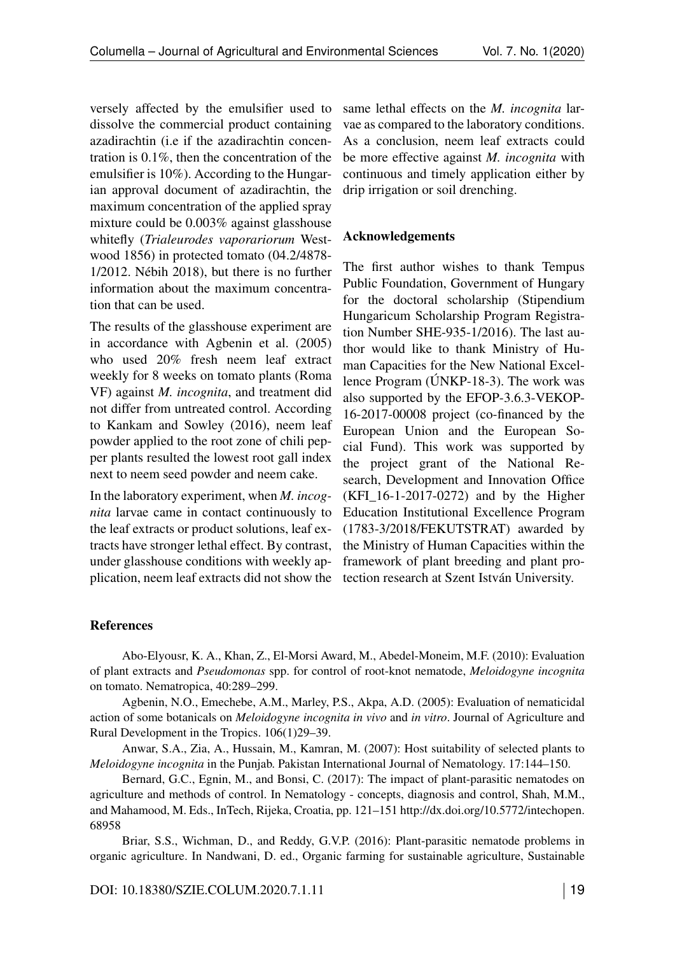versely affected by the emulsifier used to dissolve the commercial product containing azadirachtin (i.e if the azadirachtin concentration is 0.1%, then the concentration of the emulsifier is 10%). According to the Hungarian approval document of azadirachtin, the maximum concentration of the applied spray mixture could be 0.003% against glasshouse whitefly (*Trialeurodes vaporariorum* Westwood 1856) in protected tomato (04.2/4878- 1/2012. Nébih 2018), but there is no further information about the maximum concentration that can be used.

The results of the glasshouse experiment are in accordance with Agbenin et al. (2005) who used 20% fresh neem leaf extract weekly for 8 weeks on tomato plants (Roma VF) against *M. incognita*, and treatment did not differ from untreated control. According to Kankam and Sowley (2016), neem leaf powder applied to the root zone of chili pepper plants resulted the lowest root gall index next to neem seed powder and neem cake.

In the laboratory experiment, when *M. incognita* larvae came in contact continuously to the leaf extracts or product solutions, leaf extracts have stronger lethal effect. By contrast, under glasshouse conditions with weekly application, neem leaf extracts did not show the same lethal effects on the *M. incognita* larvae as compared to the laboratory conditions. As a conclusion, neem leaf extracts could be more effective against *M. incognita* with continuous and timely application either by drip irrigation or soil drenching.

#### Acknowledgements

The first author wishes to thank Tempus Public Foundation, Government of Hungary for the doctoral scholarship (Stipendium Hungaricum Scholarship Program Registration Number SHE-935-1/2016). The last author would like to thank Ministry of Human Capacities for the New National Excellence Program (ÚNKP-18-3). The work was also supported by the EFOP-3.6.3-VEKOP-16-2017-00008 project (co-financed by the European Union and the European Social Fund). This work was supported by the project grant of the National Research, Development and Innovation Office (KFI\_16-1-2017-0272) and by the Higher Education Institutional Excellence Program (1783-3/2018/FEKUTSTRAT) awarded by the Ministry of Human Capacities within the framework of plant breeding and plant protection research at Szent István University.

### References

Abo-Elyousr, K. A., Khan, Z., El-Morsi Award, M., Abedel-Moneim, M.F. (2010): Evaluation of plant extracts and *Pseudomonas* spp. for control of root-knot nematode, *Meloidogyne incognita* on tomato. Nematropica, 40:289–299.

Agbenin, N.O., Emechebe, A.M., Marley, P.S., Akpa, A.D. (2005): Evaluation of nematicidal action of some botanicals on *Meloidogyne incognita in vivo* and *in vitro*. Journal of Agriculture and Rural Development in the Tropics. 106(1)29–39.

Anwar, S.A., Zia, A., Hussain, M., Kamran, M. (2007): Host suitability of selected plants to *Meloidogyne incognita* in the Punjab. Pakistan International Journal of Nematology. 17:144–150.

Bernard, G.C., Egnin, M., and Bonsi, C. (2017): The impact of plant-parasitic nematodes on agriculture and methods of control. In Nematology - concepts, diagnosis and control, Shah, M.M., and Mahamood, M. Eds., InTech, Rijeka, Croatia, pp. 121–151 http://dx.doi.org/10.5772/intechopen. 68958

Briar, S.S., Wichman, D., and Reddy, G.V.P. (2016): Plant-parasitic nematode problems in organic agriculture. In Nandwani, D. ed., Organic farming for sustainable agriculture, Sustainable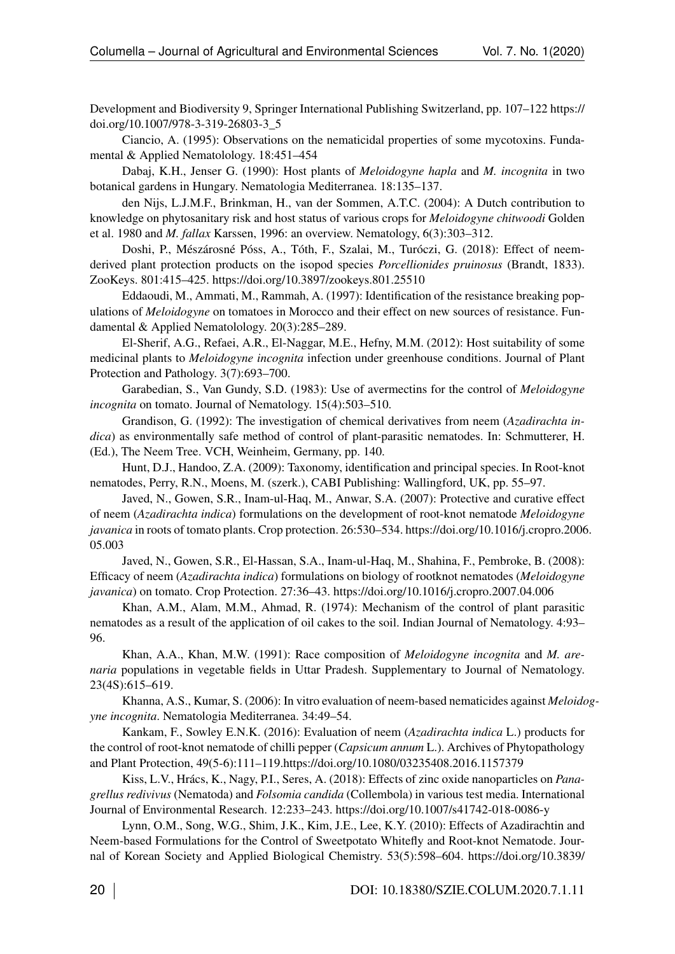Development and Biodiversity 9, Springer International Publishing Switzerland, pp. 107–122 https:// doi.org/10.1007/978-3-319-26803-3\_5

Ciancio, A. (1995): Observations on the nematicidal properties of some mycotoxins. Fundamental & Applied Nematolology. 18:451–454

Dabaj, K.H., Jenser G. (1990): Host plants of *Meloidogyne hapla* and *M. incognita* in two botanical gardens in Hungary. Nematologia Mediterranea. 18:135–137.

den Nijs, L.J.M.F., Brinkman, H., van der Sommen, A.T.C. (2004): A Dutch contribution to knowledge on phytosanitary risk and host status of various crops for *Meloidogyne chitwoodi* Golden et al. 1980 and *M. fallax* Karssen, 1996: an overview. Nematology, 6(3):303–312.

Doshi, P., Mészárosné Póss, A., Tóth, F., Szalai, M., Turóczi, G. (2018): Effect of neemderived plant protection products on the isopod species *Porcellionides pruinosus* (Brandt, 1833). ZooKeys. 801:415–425. https://doi.org/10.3897/zookeys.801.25510

Eddaoudi, M., Ammati, M., Rammah, A. (1997): Identification of the resistance breaking populations of *Meloidogyne* on tomatoes in Morocco and their effect on new sources of resistance. Fundamental & Applied Nematolology. 20(3):285–289.

<span id="page-9-1"></span>El-Sherif, A.G., Refaei, A.R., El-Naggar, M.E., Hefny, M.M. (2012): Host suitability of some medicinal plants to *Meloidogyne incognita* infection under greenhouse conditions. Journal of Plant Protection and Pathology. 3(7):693–700.

Garabedian, S., Van Gundy, S.D. (1983): Use of avermectins for the control of *Meloidogyne incognita* on tomato. Journal of Nematology. 15(4):503–510.

Grandison, G. (1992): The investigation of chemical derivatives from neem (*Azadirachta indica*) as environmentally safe method of control of plant-parasitic nematodes. In: Schmutterer, H. (Ed.), The Neem Tree. VCH, Weinheim, Germany, pp. 140.

Hunt, D.J., Handoo, Z.A. (2009): Taxonomy, identification and principal species. In Root-knot nematodes, Perry, R.N., Moens, M. (szerk.), CABI Publishing: Wallingford, UK, pp. 55–97.

Javed, N., Gowen, S.R., Inam-ul-Haq, M., Anwar, S.A. (2007): Protective and curative effect of neem (*Azadirachta indica*) formulations on the development of root-knot nematode *Meloidogyne javanica* in roots of tomato plants. Crop protection. 26:530–534. https://doi.org/10.1016/j.cropro.2006. 05.003

Javed, N., Gowen, S.R., El-Hassan, S.A., Inam-ul-Haq, M., Shahina, F., Pembroke, B. (2008): Efficacy of neem (*Azadirachta indica*) formulations on biology of rootknot nematodes (*Meloidogyne javanica*) on tomato. Crop Protection. 27:36–43. https://doi.org/10.1016/j.cropro.2007.04.006

<span id="page-9-0"></span>Khan, A.M., Alam, M.M., Ahmad, R. (1974): Mechanism of the control of plant parasitic nematodes as a result of the application of oil cakes to the soil. Indian Journal of Nematology. 4:93– 96.

Khan, A.A., Khan, M.W. (1991): Race composition of *Meloidogyne incognita* and *M. arenaria* populations in vegetable fields in Uttar Pradesh. Supplementary to Journal of Nematology. 23(4S):615–619.

Khanna, A.S., Kumar, S. (2006): In vitro evaluation of neem-based nematicides against *Meloidogyne incognita*. Nematologia Mediterranea. 34:49–54.

Kankam, F., Sowley E.N.K. (2016): Evaluation of neem (*Azadirachta indica* L.) products for the control of root-knot nematode of chilli pepper (*Capsicum annum* L.). Archives of Phytopathology and Plant Protection, 49(5-6):111–119.https://doi.org/10.1080/03235408.2016.1157379

Kiss, L.V., Hrács, K., Nagy, P.I., Seres, A. (2018): Effects of zinc oxide nanoparticles on *Panagrellus redivivus* (Nematoda) and *Folsomia candida* (Collembola) in various test media. International Journal of Environmental Research. 12:233–243. https://doi.org/10.1007/s41742-018-0086-y

Lynn, O.M., Song, W.G., Shim, J.K., Kim, J.E., Lee, K.Y. (2010): Effects of Azadirachtin and Neem-based Formulations for the Control of Sweetpotato Whitefly and Root-knot Nematode. Journal of Korean Society and Applied Biological Chemistry. 53(5):598–604. https://doi.org/10.3839/